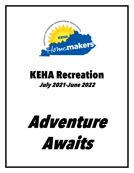

## KEHA Recreation July 2021-June 2022

# Adventure Awaits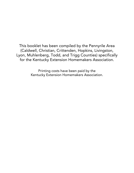This booklet has been compiled by the Pennyrile Area (Caldwell, Christian, Crittenden, Hopkins, Livingston, Lyon, Muhlenberg, Todd, and Trigg Counties) specifically for the Kentucky Extension Homemakers Association.

> Printing costs have been paid by the Kentucky Extension Homemakers Association.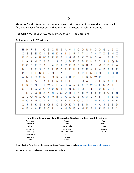#### July

Thought for the Month: "He who marvels at the beauty of the world in summer will find equal cause for wonder and admiration in winter."  $\sim$  John Burroughs

Roll Call: What is your favorite memory of July 4<sup>th</sup> celebrations?

Activity: July 4<sup>th</sup> Word Search

| H.       | $H_{\odot}$  |             |              |        |                |   | R F I C E C R E A M I C O R N D O G L S C |   |           |     |              |     |              |                       |   |              |             |              |              |        |              |             |
|----------|--------------|-------------|--------------|--------|----------------|---|-------------------------------------------|---|-----------|-----|--------------|-----|--------------|-----------------------|---|--------------|-------------|--------------|--------------|--------|--------------|-------------|
| C        | E.           | S F         |              | – K    | $\mathbf{I}$   | S | H                                         | к | Y         |     |              |     |              | IS RATS               |   | Τ.           |             | KY.          | <b>X</b>     | S      |              | N X         |
| F.       |              |             | KNAU         |        | W              |   | E E R                                     |   |           |     |              |     |              | F U N G E K X N D W L |   |              |             |              |              | P.     |              | E Q         |
|          |              |             | A A M Z      |        | <b>B</b>       | P | $\blacksquare$                            |   | S E U D D |     |              |     | $\mathsf{P}$ | B                     | R | н            | P T         |              | $\Box$       | $\Box$ | $Q \cdot B$  |             |
| E.       | C E E        |             |              | $\top$ |                |   | B H A E T C E B E W U K H M E             |   |           |     |              |     |              |                       |   |              |             |              |              | D      | Y            | <b>W</b>    |
| B        | $\mathbf{L}$ |             |              |        |                |   | A R S E E F R D R R U A P D A I A K T     |   |           |     |              |     |              |                       |   |              |             |              |              |        | -F           | - P         |
| R        | E.           | X           | $\mathbf{1}$ |        | N C            |   | R O I                                     |   |           | A J | $\mathbf{1}$ |     | F K          |                       |   |              | R E Q Q O L |              |              | T      |              | $\Omega$ II |
| A        |              |             |              |        |                |   | N Z C O N P O S R                         |   |           |     | D U          | P F |              | $\mathbf{1}$          | B |              | N W P F     |              |              | л.     | $\mathbf{H}$ |             |
|          |              |             | N S A        |        |                |   | I Y T F S Y E E L E O W E D L K Y R E     |   |           |     |              |     |              |                       |   |              |             |              |              |        |              |             |
| E.       | $\mathbf{U}$ |             |              |        |                |   | N N T T W J E V H W S Y S Y W C E O A T   |   |           |     |              |     |              |                       |   |              |             |              |              |        |              |             |
| S        | - F          |             |              |        |                |   | T G A C O U U                             |   |           |     |              |     |              | I B N O L Q T J P     |   |              |             | U            | N V H        |        |              |             |
|          | N.           |             |              |        |                |   | U Q R X X H L M D N T R E V B             |   |           |     |              |     |              |                       |   |              | B           | $\mathsf{P}$ |              |        | E C B H      |             |
| Q        |              |             |              |        |                |   | LOWOQFMBVACQBKASXF                        |   |           |     |              |     |              |                       |   |              |             |              | $\mathbf{L}$ | . т.   | F.           | W           |
|          | W C          | $\sim$ 1.00 | N C          |        | $\blacksquare$ |   | P C O R F L A G J S I                     |   |           |     |              |     |              |                       |   |              |             | W V          | $\Omega$ 7   |        | н.           | - P         |
| $\Omega$ | $\Box$       |             | T K E        |        |                |   | B Q L C E O K Y Z L                       |   |           |     |              |     |              |                       | B | $\mathbf{L}$ |             |              | K A J E      |        | B            | D           |
| A        | -R           |             | H A          | D R    |                |   | C F I X N D Q X M R                       |   |           |     |              |     |              |                       |   | E            |             | L K          | R A          |        | P            | S           |
|          |              |             |              |        |                |   |                                           |   |           |     |              |     |              |                       |   |              |             |              |              |        |              |             |

#### **Find the following words in the puzzle. Words are hidden in all directions.**

| Fourth<br>American         | Red            |
|----------------------------|----------------|
| <b>Barbecue</b><br>Free    | Sparkler       |
| <b>Funnel Cake</b><br>Blue | <b>Stars</b>   |
| Celebrate<br>Ice Cream     | <b>Stripes</b> |
| Independence<br>Corn Dog   | White          |
| Decorations<br>July        |                |
| Parade<br>Fireworks        |                |
| Picnic<br>Flag             |                |

Created using Word Search Generator on Super Teacher Worksheets [\(www.superteacherworksheets.com\)](http://www.superteacherworksheets.com/)

Submitted by: Caldwell County Extension Homemakers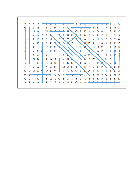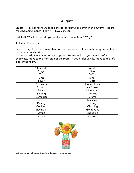#### August

Quote: "I love borders. August is the border between summer and autumn; it is the most beautiful month I know." ~ Tove Jansson

Roll Call: Which season do you prefer summer or autumn? Why?

Activity: This or That

In each row, circle the answer that best represents you. Share with the group to learn more about each other!

Optional: Add movement for each option. For example: If you would prefer chocolate, move to the right side of the room. If you prefer vanilla, move to the left side of the room.

| Chocolate       | Vanilla            |
|-----------------|--------------------|
| <b>Burger</b>   | Pizza              |
| Tea             | Coffee             |
| Cats            | Dogs               |
| Silver          | Gold               |
| <b>Sneakers</b> | <b>Dress Shoes</b> |
| Popcorn         | Ice Cream          |
| Beach           | Mountains          |
| Singing         | Dancing            |
| Comedies        | Drama              |
| <b>Books</b>    | Television         |
| Driving         | Riding             |
| Cooking         | Cleaning           |
| Staying In      | Going Out          |
| Saving          | Spending           |
| Extrovert       | Introvert          |



Submitted by: Christian County Extension Homemakers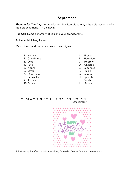#### September

Thought for The Day: "A grandparent is a little bit parent, a little bit teacher and a little bit best friend." ~ Unknown

Roll Call: Name a memory of you and your grandparents.

Activity: Matching Game

Match the Grandmother names to their origins.

- 
- 2. Grandmere B. Hawaiian
- 
- 
- 
- 
- 7. Oba-Chan G. German
- 8. Babushka H. Spanish
- 9. Abuela I. Polish
- 
- 1. Nai Nai  $\overline{a}$  A. French
	-
- 3. Oma C. Hebrew
- 4. Tutu D. Chinese
- 5. Nonna E. Japanese
- 6. Savta F. Italian
	-
	-
	-
- 10.Babcia J. Russian

Answer Key:  $1.$  D, 2. A, 3. G, 4. B, 5. F, 6. C, 7. E, 8. J, 9. H, 10. 1



Submitted by the After Hours Homemakers, Crittenden County Extension Homemakers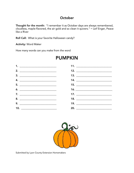#### **October**

Thought for the month: "I remember it as October days are always remembered, cloudless, maple-flavored, the air gold and so clean it quivers." ~ Leif Enger, Peace like a River

Roll Call: What is your favorite Halloween candy?

Activity: Word Maker

How many words can you make from the word



### PUMPKIN



Submitted by Lyon County Extension Homemakers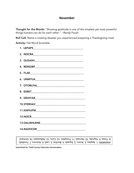#### **November**

Thought for the Month: "Showing gratitude is one of the simplest yet most powerful things humans can do for each other." ~Randy Paush

Roll Call: Name a cooking disaster you experienced preparing a Thanksgiving meal.

Activity: Fall Word Scramble

| 7. OTOBLFAL |
|-------------|
|             |
|             |
|             |
|             |
|             |
|             |
|             |
|             |

ANSWERS: 1. Apples; 2. Acorn; 3. Squash; 4. Bonfire; 5. Leaf; 6. Autumn; 7. Football; chard 8. Trees; 9. Hayride; 10. Harvest; 11. Pumpkin; 12. Corn; 13. Halloween; 14. Or

Submitted by: Todd County Extension Homemakers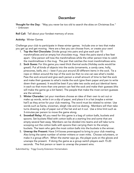#### December

Thought for the Day: "May you never be too old to search the skies on Christmas Eve." ~ Unknown

Roll Call: Tell about your fondest memory of snow.

Activity: Winter Games

Challenge your club to participate in these winter games. Include one or two that make you get up and get moving. Here are a few you can choose from, or create your own!

- 1. Top the Hot Chocolate: Divide group into pairs and give each pair 10 marshmallows and an empty hot chocolate mug. Have the pairs stand a few feet apart. One person will toss the marshmallows while the other person tries to catch the marshmallows in the mug. The pair that catches the most marshmallows wins.
- 2. Sock Guess: For this game you need thick thermal socks (Holiday socks would be great!). Put all kinds of objects into the socks (ornaments, a candy cane, holly, pinecones, bells, etc.) – best if you put around 20 different items in the sock. Tie a rope or ribbon around the top of the sock (so that no one can see what's inside). Pass the sock around and give each person a small amount of time to feel the sock and make their guesses to what's inside the sock (give them paper and pen to write down their guesses). It would be best if you take two socks and put identical items in each so that more than one person can feel the sock and make their guesses (this will make the game go a bit faster). The people that make the most correct guesses are the winners.
- 3. Winter Charades: Let your members choose an idea of their own to act out or make up words, write it on a slip of paper, and place it in a hat (maybe a winter hat?) as they arrive for your club meeting. The word must be related to winter. Use words such as Santa, snowman, sleigh ride and ice skating. Members will then take turns drawing a slip of paper out of the hat and act it out. Use a time limit such as 3-minutes per person to move the game along.
- 4. **Snowball Relay:** All you need for this game is a bag of cotton balls, buckets and spoons. Set buckets filled with cotton balls at a starting line and some that are empty several feet away. Members can be divided into teams and will take turns scooping out the cotton balls with spoons then carrying them to the empty buckets. The team who gets the most cotton balls into the buckets is the winner.
- 5. Unwrap the Present: Have 3-4 boxes prewrapped to bring to your club meeting. Also bring the same number of winter mittens or oven mitts. Choose volunteers, or make it a group effort. When the starter says go, the player puts on the gloves and unwraps the present. If doing the game as a group switch players each 15-20 seconds. The first person or team to unwrap the present wins.

Submitted by: Trigg County Extension Homemakers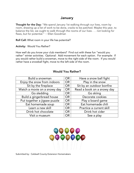#### January

Thought for the Day: "We spend January 1st walking through our lives, room by room, drawing up a list of work to be done, cracks to be patched. Maybe this year, to balance the list, we ought to walk through the rooms of our lives . . . not looking for flaws, but for potential." ~ Ellen Goodman

Roll Call: What room in your life has potential?

Activity: Would You Rather?

How well do you know your club members? Find out with these fun "would you rather" winter activities. Optional: Add movement for each option. For example: If you would rather build a snowman, move to the right side of the room. If you would rather have a snowball fight, move to the left side of the room.

#### Would You Rather?

| Build a snowman              | <b>OR</b> | Have a snow ball fight     |
|------------------------------|-----------|----------------------------|
| Enjoy the snow from indoors  | <b>OR</b> | Play in the snow           |
| Sit by the fireplace         | <b>OR</b> | Sit by an outdoor bonfire  |
| Watch a movie on a snowy day | <b>OR</b> | Read a book on a snowy day |
| Go sledding                  | <b>OR</b> | Go skiing                  |
| Build a gingerbread house    | <b>OR</b> | Decorate cookies           |
| Put together a jigsaw puzzle | <b>OR</b> | Play a board game          |
| Eat homemade soup            | <b>OR</b> | Eat homemade chili         |
| Learn a new skill            | <b>OR</b> | Practice a current skill   |
| Drink hot chocolate          | <b>OR</b> | Drink hot cider            |
| Visit a museum               | <b>OR</b> | See a play                 |



Submitted by: Caldwell County Extension Homemakers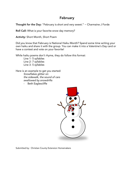#### February

Thought for the Day: "February is short and very sweet." ~ Charmaine J Forde

Roll Call: What is your favorite snow day memory?

Activity: Short Month, Short Poem

Did you know that February is National Haiku Month? Spend some time writing your own haiku and share it with the group. You can make it into a Valentine's Day card or have a contest and vote on your favorite!

While haiku poems don't rhyme, they do follow this format:

Line 1- 5 syllables Line 2- 7 syllables Line 3- 5 syllables

Here is an example to get you started: *Snowflakes glitter on the sidewalk, the sound of cars swallowed by snowdrifts*

- Beth Eaglescliffe



Submitted by: Christian County Extension Homemakers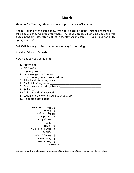#### March

Thought for The Day: There are no unimportant acts of kindness.

Poem: "I didn't hear a bugle blow when spring arrived today. Instead I heard the trilling sound of song birds everywhere. The gentle breezes, humming bees, the wild geese in the air. I saw rebirth of life in the flowers and trees." ~ Lois Pinkerton Fritz, *Spring's Arrival*

Roll Call: Name your favorite outdoor activity in the spring.

Activity: Priceless Proverbs

How many can you complete?

- 1. Pretty is as \_\_\_\_\_\_\_\_\_\_\_\_\_\_\_\_\_\_\_\_\_\_\_\_\_\_\_\_\_\_\_\_\_\_\_\_\_\_\_\_\_\_\_\_\_\_\_
- 2. No news is \_\_\_\_\_\_\_\_\_\_\_\_\_\_\_\_\_\_\_\_\_\_\_\_\_\_\_\_\_\_\_\_\_\_\_\_\_\_\_\_\_\_\_\_\_\_\_
- 3. A penny saved is \_\_\_\_\_\_\_\_\_\_\_\_\_\_\_\_\_\_\_\_\_\_\_\_\_\_\_\_\_\_\_\_\_\_\_\_\_\_\_\_\_\_
- 4. Two wrongs, don't make \_\_\_\_\_\_\_\_\_\_\_\_\_\_\_\_\_\_\_\_\_\_\_\_\_\_\_\_\_\_\_\_\_\_\_
- 5. Don't count your chickens before \_\_\_\_\_\_\_\_\_\_\_\_\_\_\_\_\_\_\_\_\_\_\_\_\_\_\_\_
- 6. A fool and his money are soon \_\_\_\_\_\_\_\_\_\_\_\_\_\_\_\_\_\_\_\_\_\_\_\_\_\_\_\_\_\_\_
- 7. A stitch in time, saves \_\_\_\_\_\_\_\_\_\_\_\_\_\_\_\_\_\_\_\_\_\_\_\_\_\_\_\_\_\_\_\_\_\_\_\_\_\_\_
- 8. Don't cross your bridge before\_\_\_\_\_\_\_\_\_\_\_\_\_\_\_\_\_\_\_\_\_\_\_\_\_\_\_\_\_\_\_
- 9. Still water\_\_\_\_\_\_\_\_\_\_\_\_\_\_\_\_\_\_\_\_\_\_\_\_\_\_\_\_\_\_\_\_\_\_\_\_\_\_\_\_\_\_\_\_\_\_\_\_\_
- 10.At first you don't succeed \_\_\_\_\_\_\_\_\_\_\_\_\_\_\_\_\_\_\_\_\_\_\_\_\_\_\_\_\_\_\_\_\_\_\_
- 11.Laugh and the world laughs with you, Cry \_\_\_\_\_\_\_\_\_\_\_\_\_\_\_\_\_\_\_\_\_\_\_
- 12. An apple a day keeps

| 12. The doctor away      |                |
|--------------------------|----------------|
| <b>∍nolA.</b> 11         |                |
|                          |                |
| dəəp sun <u>y</u>        | 6`             |
| 8. You get there         |                |
| ∍niN .∖                  |                |
| 6. Parted                |                |
| They are hatched         | ع·             |
| $\frac{1}{2}$ hgin A . A |                |
| Leuud estueq             | ع. .           |
| 2. Good news             |                |
| 1. Pretty does           |                |
|                          | <b>Answers</b> |

Submitted by the Challengers Homemakers Club, Crittenden County Extension Homemakers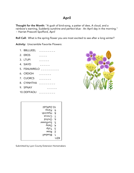#### April

Thought for the Month: "A gush of bird-song, a patter of dew, A cloud, and a rainbow's warning, Suddenly sunshine and perfect blue - An April day in the morning." ~ Harriet Prescott Spofford, *April*

Roll Call: What is the spring flower you are most excited to see after a long winter?

Activity: Unscramble Favorite Flowers:

1. BBLLUEEL  $\quad \_ \_ \_ \_ \_ \_ \_ \_ \_ \_ \_ \_ \_ \_ \_$ 2. EROS  $_{---}$ 3. LTUPI  $\qquad \qquad \overline{\qquad}$ 4. SIAYD  $-$ 5. FSNUWRELO \_\_\_\_\_\_\_\_ 6. CRDIOH  $_{---}$ 7. CUORCS  $\qquad \qquad - - - - - -$ 8. CYINHTHA  $\angle$ 9. SPNAY  $-$ 10.DDFFAOLI  $\angle$  \_ \_ \_ \_ \_ \_ \_ \_



| liboffad.01  |      |
|--------------|------|
| 9. Pansy     |      |
| dtnibayH .8  |      |
| 7. Crocus    |      |
| binbiO .d    |      |
| 5. Sunflower |      |
| y. Daisy     |      |
| qiluT . &    |      |
| 2. Rose      |      |
| Bluebell     | ۰ı   |
|              | KEY: |

Submitted by Lyon County Extension Homemakers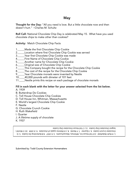#### May

Thought for the Day: "All you need is love. But a little chocolate now and then doesn't hurt." ~Charles M. Schultz

Roll Call: National Chocolate Chip Day is celebrated May 15. What have you used chocolate chips to make other than cookies?

Activity: Match Chocolate Chip Facts

- 1.\_\_\_\_\_Made the first Chocolate Chip Cookie
- 2.\_\_\_\_\_Location where first Chocolate Chip Cookie was served
- 3.\_\_\_\_\_Year first Chocolate Chip Cookie was made
- 4.\_\_\_\_\_First Name of Chocolate Chip Cookie
- 5.\_\_\_\_\_Another name for Chocolate Chip Cookie
- 6.\_\_\_\_\_Original size of Chocolate Chip Cookie
- 7.\_\_\_\_\_This Company bought the recipe for the Chocolate Chip Cookie
- 8.\_\_\_\_\_The cost of the recipe for the Chocolate Chip Cookie
- 9.\_\_\_\_\_Year Chocolate morsels were invented by Nestle
- 10.\_\_\_\_40,000 pounds with dimeter of 101 feet
- 11.\_\_\_\_Nestle prints this recipe on each package of chocolate morsels

#### Fill in each blank with the letter for your answer selected from the list below. A. 1939

- B. Butterdrop Do Cookies
- C. Toll House Chocolate Chip Cookies
- D. Toll House Inn, Whitman, Massachusetts
- E. World's largest Chocolate Chip Cookie
- F. Nestle
- G. Chocolate Crunch Cookie
- H. Ruth Wakefield
- I. Quarter
- J. A lifetime supply of chocolate
- K. 1937

1. H-Ruth Wakefield 2. D-Toll House Inn, Whitman, Massachusetts 3. K-1937 4. Butterdrop Do Cookie 5. G-Chocolate Crunch Cookie 6. I-Quarter 7. F-Nestle 8. J-A lifetime supply of chocolate 9. A-1939 10. E-World's largest Chocolate Chip Cookie 11. C-Toll House Chocolate Chip Cookie

Submitted by: Todd County Extension Homemakers